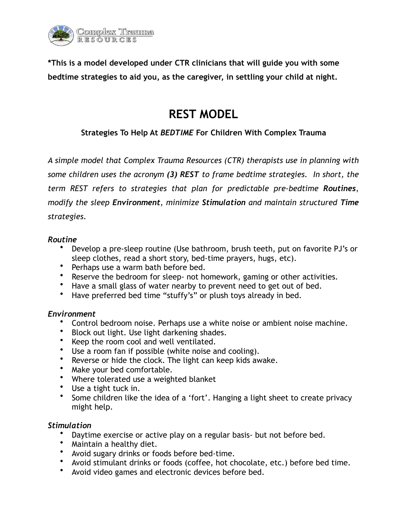

**\*This is a model developed under CTR clinicians that will guide you with some bedtime strategies to aid you, as the caregiver, in settling your child at night.** 

# **REST MODEL**

# **Strategies To Help At** *BEDTIME* **For Children With Complex Trauma**

*A simple model that Complex Trauma Resources (CTR) therapists use in planning with some children uses the acronym (3) REST to frame bedtime strategies. In short, the term REST refers to strategies that plan for predictable pre-bedtime Routines, modify the sleep Environment, minimize Stimulation and maintain structured Time strategies.* 

### *Routine*

- Develop a pre-sleep routine (Use bathroom, brush teeth, put on favorite PJ's or sleep clothes, read a short story, bed-time prayers, hugs, etc).
- Perhaps use a warm bath before bed.
- Reserve the bedroom for sleep- not homework, gaming or other activities.
- Have a small glass of water nearby to prevent need to get out of bed.
- Have preferred bed time "stuffy's" or plush toys already in bed.

## *Environment*

- Control bedroom noise. Perhaps use a white noise or ambient noise machine.
- Block out light. Use light darkening shades.
- Keep the room cool and well ventilated.
- Use a room fan if possible (white noise and cooling).
- Reverse or hide the clock. The light can keep kids awake.
- Make your bed comfortable.
- Where tolerated use a weighted blanket
- Use a tight tuck in.
- Some children like the idea of a 'fort'. Hanging a light sheet to create privacy might help.

## *Stimulation*

- Daytime exercise or active play on a regular basis- but not before bed.
- Maintain a healthy diet.
- Avoid sugary drinks or foods before bed-time.
- Avoid stimulant drinks or foods (coffee, hot chocolate, etc.) before bed time.
- Avoid video games and electronic devices before bed.